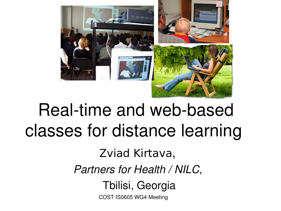

## Real-time and web-based classes for distance learning

Zviad Kirtava, *Partners for Health / NILC*, Tbilisi, Georgia

COST IS0605 WG4 Meeting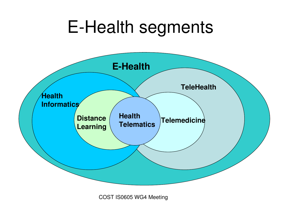## E-Health segments



COST IS0605 WG4 Meeting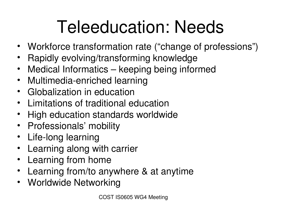# Teleeducation: Needs

- Workforce transformation rate ("change of professions")
- Rapidly evolving/transforming knowledge
- Medical Informatics keeping being informed
- Multimedia-enriched learning
- Globalization in education
- Limitations of traditional education
- High education standards worldwide
- Professionals' mobility
- Life-long learning
- Learning along with carrier
- Learning from home
- Learning from/to anywhere & at anytime
- Worldwide Networking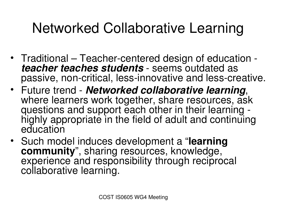### Networked Collaborative Learning

- Traditional Teacher-centered design of education *teacher teaches students* - seems outdated as passive, non-critical, less-innovative and less-creative.
- Future trend *Networked collaborative learning*, where learners work together, share resources, ask questions and support each other in their learning highly appropriate in the field of adult and continuing education
- Such model induces development a "**learning community**", sharing resources, knowledge, experience and responsibility through reciprocal collaborative learning.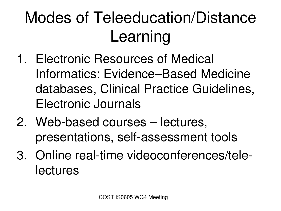## Modes of Teleeducation/Distance Learning

- 1. Electronic Resources of Medical Informatics: Evidence–Based Medicine databases, Clinical Practice Guidelines, Electronic Journals
- 2. Web-based courses lectures, presentations, self-assessment tools
- 3. Online real-time videoconferences/telelectures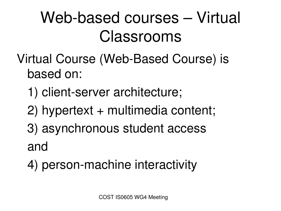## Web-based courses – Virtual Classrooms

#### Virtual Course (Web-Based Course) is based on:

- 1) client-server architecture;
- 2) hypertext + multimedia content;
- 3) asynchronous student access and
- 4) person-machine interactivity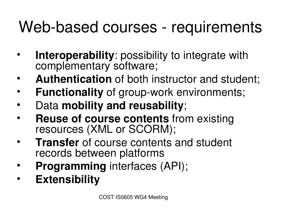### Web-based courses - requirements

- **Interoperability:** possibility to integrate with complementary software;
- Authentication of both instructor and student;
- **Functionality** of group-work environments;
- Data **mobility and reusability**;
- **Reuse of course contents** from existing resources (XML or SCORM);
- **Transfer** of course contents and student records between platforms
- **Programming** interfaces (API);
- **Extensibility**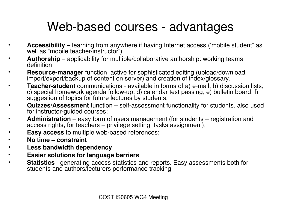#### Web-based courses - advantages

- **Accessibility** learning from anywhere if having Internet access ('mobile student" as well as "mobile teacher/instructor")
- **Authorship** applicability for multiple/collaborative authorship: working teams definition
- **Resource-manager** function active for sophisticated editing (upload/download, import/export/backup of content on server) and creation of index/glossary.
- **Teacher-student** communications available in forms of a) e-mail, b) discussion lists; c) special homework agenda follow-up; d) calendar test passing; e) bulletin board; f) suggestion of topics for future lectures by students.
- **Quizzes/Assessment** function self-assessment functionality for students, also used for instructor-guided courses;
- **Administration** easy form of users management (for students registration and access rights; for teachers – privilege setting, tasks assignment);
- **Easy access** to multiple web-based references;
- **No time constraint**
- **Less bandwidth dependency**
- **Easier solutions for language barriers**
- **Statistics** generating access statistics and reports. Easy assessments both for students and authors/lecturers performance tracking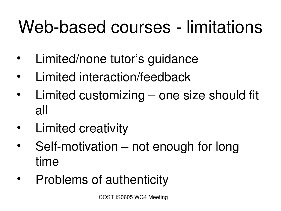# Web-based courses - limitations

- Limited/none tutor's guidance
- Limited interaction/feedback
- Limited customizing one size should fit all
- Limited creativity
- Self-motivation not enough for long time
- Problems of authenticity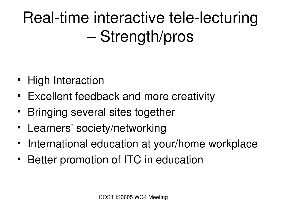Real-time interactive tele-lecturing – Strength/pros

- High Interaction
- Excellent feedback and more creativity
- Bringing several sites together
- Learners' society/networking
- International education at your/home workplace
- Better promotion of ITC in education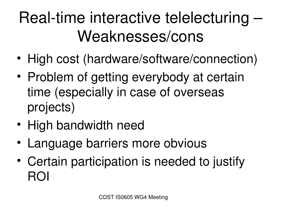## Real-time interactive telelecturing -Weaknesses/cons

- High cost (hardware/software/connection)
- Problem of getting everybody at certain time (especially in case of overseas projects)
- High bandwidth need
- Language barriers more obvious
- Certain participation is needed to justify ROI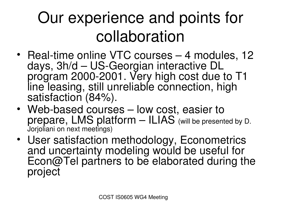## Our experience and points for collaboration

- Real-time online VTC courses 4 modules, 12 days, 3h/d - US-Georgian interactive DL program 2000-2001. Very high cost due to T1 line leasing, still unreliable connection, high satisfaction (84%).
- Web-based courses low cost, easier to prepare, LMS platform – ILIAS (will be presented by D. Jorjoliani on next meetings)
- User satisfaction methodology, Econometrics and uncertainty modeling would be useful for Econ@Tel partners to be elaborated during the project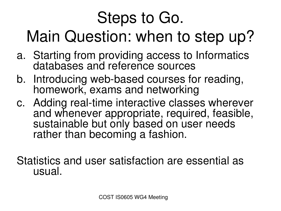## Steps to Go. Main Question: when to step up?

- a. Starting from providing access to Informatics databases and reference sources
- b. Introducing web-based courses for reading, homework, exams and networking
- c. Adding real-time interactive classes wherever and whenever appropriate, required, feasible, sustainable but only based on user needs rather than becoming a fashion.

Statistics and user satisfaction are essential as usual.